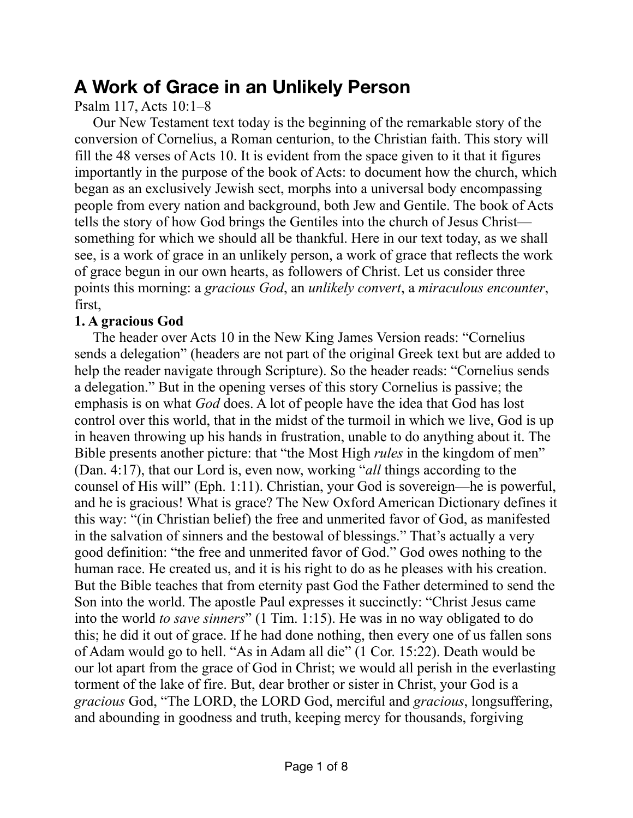## **A Work of Grace in an Unlikely Person**

Psalm 117, Acts 10:1–8

Our New Testament text today is the beginning of the remarkable story of the conversion of Cornelius, a Roman centurion, to the Christian faith. This story will fill the 48 verses of Acts 10. It is evident from the space given to it that it figures importantly in the purpose of the book of Acts: to document how the church, which began as an exclusively Jewish sect, morphs into a universal body encompassing people from every nation and background, both Jew and Gentile. The book of Acts tells the story of how God brings the Gentiles into the church of Jesus Christ something for which we should all be thankful. Here in our text today, as we shall see, is a work of grace in an unlikely person, a work of grace that reflects the work of grace begun in our own hearts, as followers of Christ. Let us consider three points this morning: a *gracious God*, an *unlikely convert*, a *miraculous encounter*, first,

## **1. A gracious God**

The header over Acts 10 in the New King James Version reads: "Cornelius sends a delegation" (headers are not part of the original Greek text but are added to help the reader navigate through Scripture). So the header reads: "Cornelius sends a delegation." But in the opening verses of this story Cornelius is passive; the emphasis is on what *God* does. A lot of people have the idea that God has lost control over this world, that in the midst of the turmoil in which we live, God is up in heaven throwing up his hands in frustration, unable to do anything about it. The Bible presents another picture: that "the Most High *rules* in the kingdom of men" (Dan. 4:17), that our Lord is, even now, working "*all* things according to the counsel of His will" (Eph. 1:11). Christian, your God is sovereign—he is powerful, and he is gracious! What is grace? The New Oxford American Dictionary defines it this way: "(in Christian belief) the free and unmerited favor of God, as manifested in the salvation of sinners and the bestowal of blessings." That's actually a very good definition: "the free and unmerited favor of God." God owes nothing to the human race. He created us, and it is his right to do as he pleases with his creation. But the Bible teaches that from eternity past God the Father determined to send the Son into the world. The apostle Paul expresses it succinctly: "Christ Jesus came into the world *to save sinners*" (1 Tim. 1:15). He was in no way obligated to do this; he did it out of grace. If he had done nothing, then every one of us fallen sons of Adam would go to hell. "As in Adam all die" (1 Cor. 15:22). Death would be our lot apart from the grace of God in Christ; we would all perish in the everlasting torment of the lake of fire. But, dear brother or sister in Christ, your God is a *gracious* God, "The LORD, the LORD God, merciful and *gracious*, longsuffering, and abounding in goodness and truth, keeping mercy for thousands, forgiving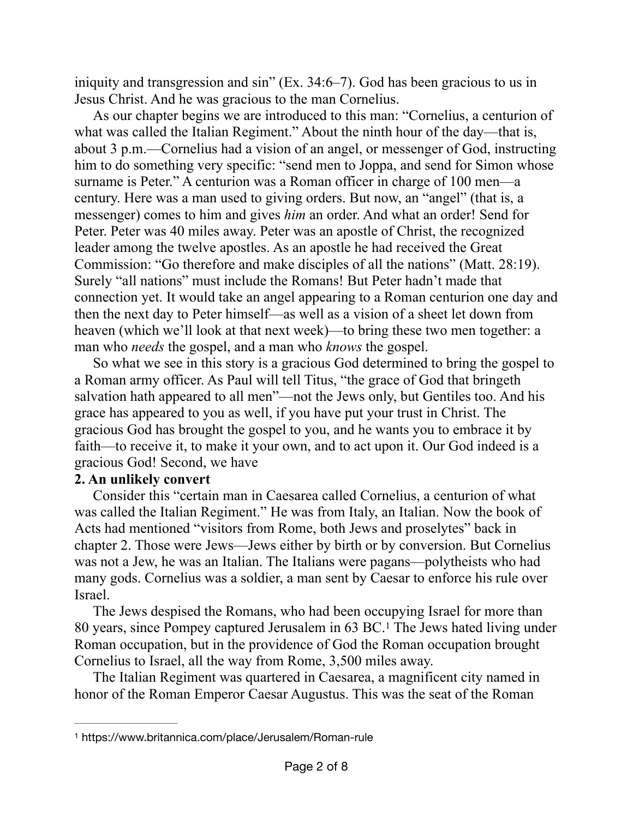iniquity and transgression and sin" (Ex. 34:6–7). God has been gracious to us in Jesus Christ. And he was gracious to the man Cornelius.

As our chapter begins we are introduced to this man: "Cornelius, a centurion of what was called the Italian Regiment." About the ninth hour of the day—that is, about 3 p.m.—Cornelius had a vision of an angel, or messenger of God, instructing him to do something very specific: "send men to Joppa, and send for Simon whose surname is Peter." A centurion was a Roman officer in charge of 100 men—a century. Here was a man used to giving orders. But now, an "angel" (that is, a messenger) comes to him and gives *him* an order. And what an order! Send for Peter. Peter was 40 miles away. Peter was an apostle of Christ, the recognized leader among the twelve apostles. As an apostle he had received the Great Commission: "Go therefore and make disciples of all the nations" (Matt. 28:19). Surely "all nations" must include the Romans! But Peter hadn't made that connection yet. It would take an angel appearing to a Roman centurion one day and then the next day to Peter himself—as well as a vision of a sheet let down from heaven (which we'll look at that next week)—to bring these two men together: a man who *needs* the gospel, and a man who *knows* the gospel.

So what we see in this story is a gracious God determined to bring the gospel to a Roman army officer. As Paul will tell Titus, "the grace of God that bringeth salvation hath appeared to all men"—not the Jews only, but Gentiles too. And his grace has appeared to you as well, if you have put your trust in Christ. The gracious God has brought the gospel to you, and he wants you to embrace it by faith—to receive it, to make it your own, and to act upon it. Our God indeed is a gracious God! Second, we have

## **2. An unlikely convert**

Consider this "certain man in Caesarea called Cornelius, a centurion of what was called the Italian Regiment." He was from Italy, an Italian. Now the book of Acts had mentioned "visitors from Rome, both Jews and proselytes" back in chapter 2. Those were Jews—Jews either by birth or by conversion. But Cornelius was not a Jew, he was an Italian. The Italians were pagans—polytheists who had many gods. Cornelius was a soldier, a man sent by Caesar to enforce his rule over Israel.

<span id="page-1-1"></span>The Jews despised the Romans, who had been occupying Israel for more than 80years, since Pompey captured Jerusalem in 63 BC.<sup>[1](#page-1-0)</sup> The Jews hated living under Roman occupation, but in the providence of God the Roman occupation brought Cornelius to Israel, all the way from Rome, 3,500 miles away.

The Italian Regiment was quartered in Caesarea, a magnificent city named in honor of the Roman Emperor Caesar Augustus. This was the seat of the Roman

<span id="page-1-0"></span>[<sup>1</sup>](#page-1-1) https://www.britannica.com/place/Jerusalem/Roman-rule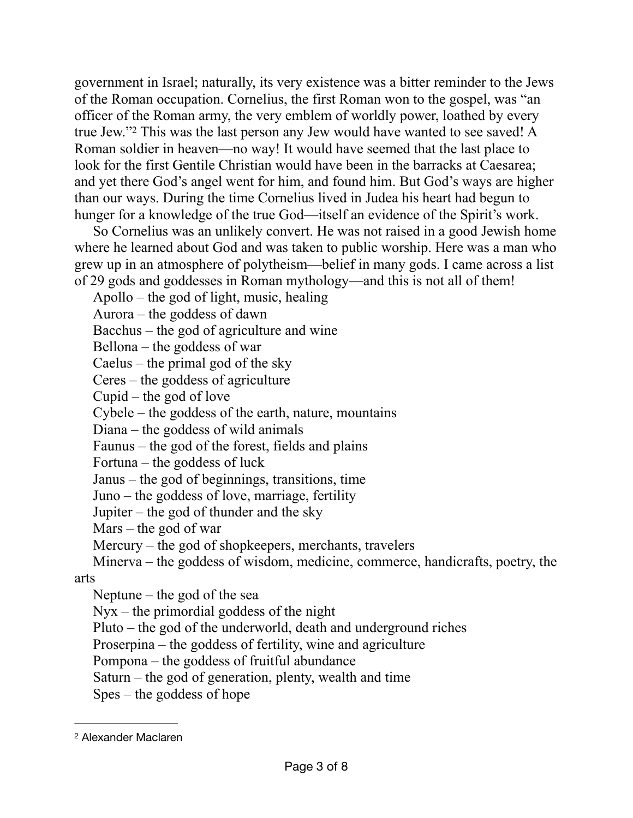<span id="page-2-1"></span>government in Israel; naturally, its very existence was a bitter reminder to the Jews of the Roman occupation. Cornelius, the first Roman won to the gospel, was "an officer of the Roman army, the very emblem of worldly power, loathed by every true Jew."<sup>[2](#page-2-0)</sup> This was the last person any Jew would have wanted to see saved! A Roman soldier in heaven—no way! It would have seemed that the last place to look for the first Gentile Christian would have been in the barracks at Caesarea; and yet there God's angel went for him, and found him. But God's ways are higher than our ways. During the time Cornelius lived in Judea his heart had begun to hunger for a knowledge of the true God—itself an evidence of the Spirit's work.

So Cornelius was an unlikely convert. He was not raised in a good Jewish home where he learned about God and was taken to public worship. Here was a man who grew up in an atmosphere of polytheism—belief in many gods. I came across a list of 29 gods and goddesses in Roman mythology—and this is not all of them!

Apollo – the god of light, music, healing

Aurora – the goddess of dawn

Bacchus – the god of agriculture and wine

Bellona – the goddess of war

Caelus – the primal god of the sky

Ceres – the goddess of agriculture

Cupid – the god of love

Cybele – the goddess of the earth, nature, mountains

Diana – the goddess of wild animals

Faunus – the god of the forest, fields and plains

Fortuna – the goddess of luck

Janus – the god of beginnings, transitions, time

Juno – the goddess of love, marriage, fertility

Jupiter – the god of thunder and the sky

Mars – the god of war

Mercury – the god of shopkeepers, merchants, travelers

Minerva – the goddess of wisdom, medicine, commerce, handicrafts, poetry, the arts

Neptune – the god of the sea

Nyx – the primordial goddess of the night

Pluto – the god of the underworld, death and underground riches

Proserpina – the goddess of fertility, wine and agriculture

Pompona – the goddess of fruitful abundance

Saturn – the god of generation, plenty, wealth and time

Spes – the goddess of hope

<span id="page-2-0"></span>[<sup>2</sup>](#page-2-1) Alexander Maclaren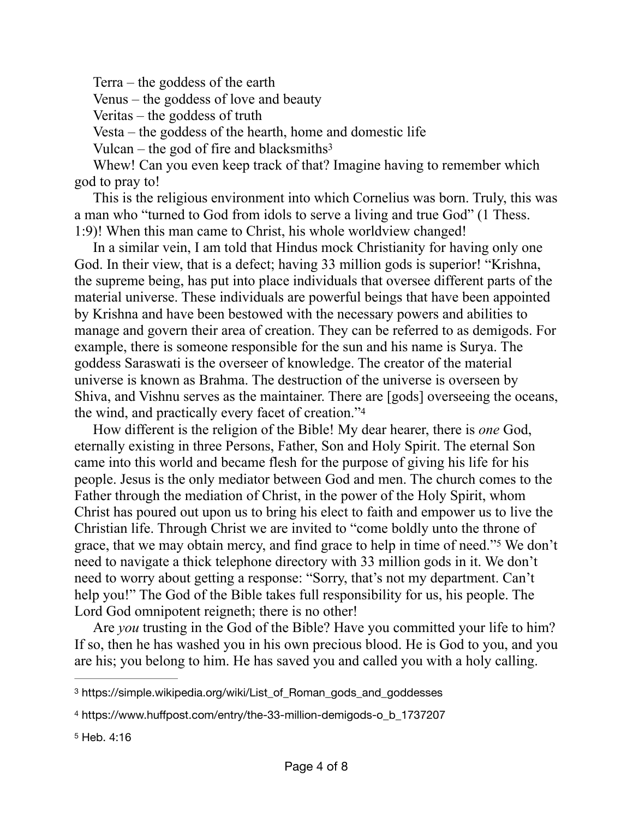Terra – the goddess of the earth

Venus – the goddess of love and beauty

Veritas – the goddess of truth

Vesta – the goddess of the hearth, home and domestic life

<span id="page-3-3"></span>Vulcan – the god of fire and blacksmiths<sup>3</sup>

Whew! Can you even keep track of that? Imagine having to remember which god to pray to!

This is the religious environment into which Cornelius was born. Truly, this was a man who "turned to God from idols to serve a living and true God" (1 Thess. 1:9)! When this man came to Christ, his whole worldview changed!

In a similar vein, I am told that Hindus mock Christianity for having only one God. In their view, that is a defect; having 33 million gods is superior! "Krishna, the supreme being, has put into place individuals that oversee different parts of the material universe. These individuals are powerful beings that have been appointed by Krishna and have been bestowed with the necessary powers and abilities to manage and govern their area of creation. They can be referred to as demigods. For example, there is someone responsible for the sun and his name is Surya. The goddess Saraswati is the overseer of knowledge. The creator of the material universe is known as Brahma. The destruction of the universe is overseen by Shiva, and Vishnu serves as the maintainer. There are [gods] overseeing the oceans, the wind, and practically every facet of creation.["4](#page-3-1)

<span id="page-3-4"></span>How different is the religion of the Bible! My dear hearer, there is *one* God, eternally existing in three Persons, Father, Son and Holy Spirit. The eternal Son came into this world and became flesh for the purpose of giving his life for his people. Jesus is the only mediator between God and men. The church comes to the Father through the mediation of Christ, in the power of the Holy Spirit, whom Christ has poured out upon us to bring his elect to faith and empower us to live the Christian life. Through Christ we are invited to "come boldly unto the throne of grace, that we may obtain mercy, and find grace to help in time of need.["](#page-3-2)<sup>[5](#page-3-2)</sup> We don't need to navigate a thick telephone directory with 33 million gods in it. We don't need to worry about getting a response: "Sorry, that's not my department. Can't help you!" The God of the Bible takes full responsibility for us, his people. The Lord God omnipotent reigneth; there is no other!

<span id="page-3-5"></span>Are *you* trusting in the God of the Bible? Have you committed your life to him? If so, then he has washed you in his own precious blood. He is God to you, and you are his; you belong to him. He has saved you and called you with a holy calling.

<span id="page-3-0"></span>[<sup>3</sup>](#page-3-3) https://simple.wikipedia.org/wiki/List\_of\_Roman\_gods\_and\_goddesses

<span id="page-3-1"></span>[<sup>4</sup>](#page-3-4) https://www.huffpost.com/entry/the-33-million-demigods-o\_b\_1737207

<span id="page-3-2"></span>[<sup>5</sup>](#page-3-5) Heb. 4:16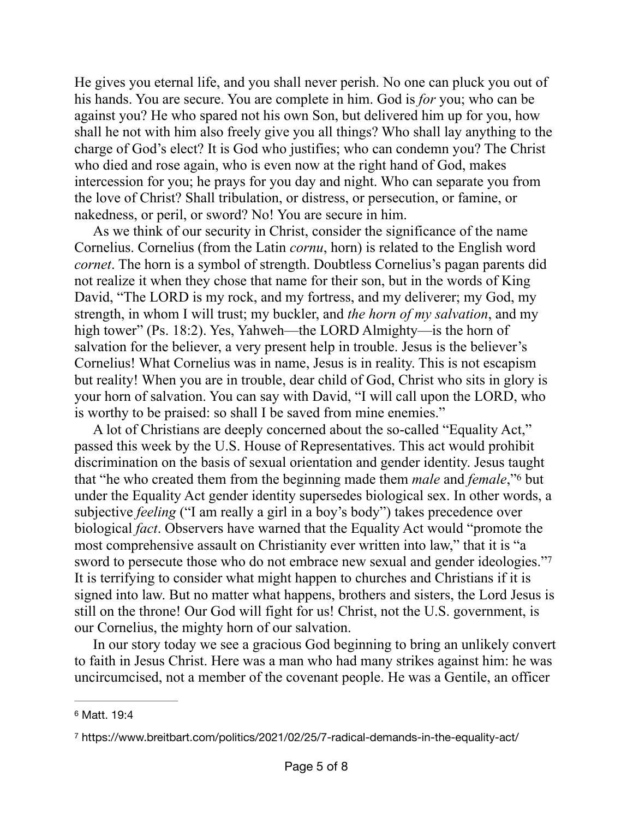He gives you eternal life, and you shall never perish. No one can pluck you out of his hands. You are secure. You are complete in him. God is *for* you; who can be against you? He who spared not his own Son, but delivered him up for you, how shall he not with him also freely give you all things? Who shall lay anything to the charge of God's elect? It is God who justifies; who can condemn you? The Christ who died and rose again, who is even now at the right hand of God, makes intercession for you; he prays for you day and night. Who can separate you from the love of Christ? Shall tribulation, or distress, or persecution, or famine, or nakedness, or peril, or sword? No! You are secure in him.

As we think of our security in Christ, consider the significance of the name Cornelius. Cornelius (from the Latin *cornu*, horn) is related to the English word *cornet*. The horn is a symbol of strength. Doubtless Cornelius's pagan parents did not realize it when they chose that name for their son, but in the words of King David, "The LORD is my rock, and my fortress, and my deliverer; my God, my strength, in whom I will trust; my buckler, and *the horn of my salvation*, and my high tower" (Ps. 18:2). Yes, Yahweh—the LORD Almighty—is the horn of salvation for the believer, a very present help in trouble. Jesus is the believer's Cornelius! What Cornelius was in name, Jesus is in reality. This is not escapism but reality! When you are in trouble, dear child of God, Christ who sits in glory is your horn of salvation. You can say with David, "I will call upon the LORD, who is worthy to be praised: so shall I be saved from mine enemies."

<span id="page-4-2"></span>A lot of Christians are deeply concerned about the so-called "Equality Act," passed this week by the U.S. House of Representatives. This act would prohibit discrimination on the basis of sexual orientation and gender identity. Jesus taught that "he who created them from the beginning made them *male* and *female*,["](#page-4-0) <sup>[6](#page-4-0)</sup> but under the Equality Act gender identity supersedes biological sex. In other words, a subjective *feeling* ("I am really a girl in a boy's body") takes precedence over biological *fact*. Observers have warned that the Equality Act would "promote the most comprehensive assault on Christianity ever written into law," that it is "a sword to persecute those who do not embrace new sexual and gender ideologies."[7](#page-4-1) It is terrifying to consider what might happen to churches and Christians if it is signed into law. But no matter what happens, brothers and sisters, the Lord Jesus is still on the throne! Our God will fight for us! Christ, not the U.S. government, is our Cornelius, the mighty horn of our salvation.

<span id="page-4-3"></span>In our story today we see a gracious God beginning to bring an unlikely convert to faith in Jesus Christ. Here was a man who had many strikes against him: he was uncircumcised, not a member of the covenant people. He was a Gentile, an officer

<span id="page-4-0"></span>[<sup>6</sup>](#page-4-2) Matt. 19:4

<span id="page-4-1"></span>https://www.breitbart.com/politics/2021/02/25/7-radical-demands-in-the-equality-act/ [7](#page-4-3)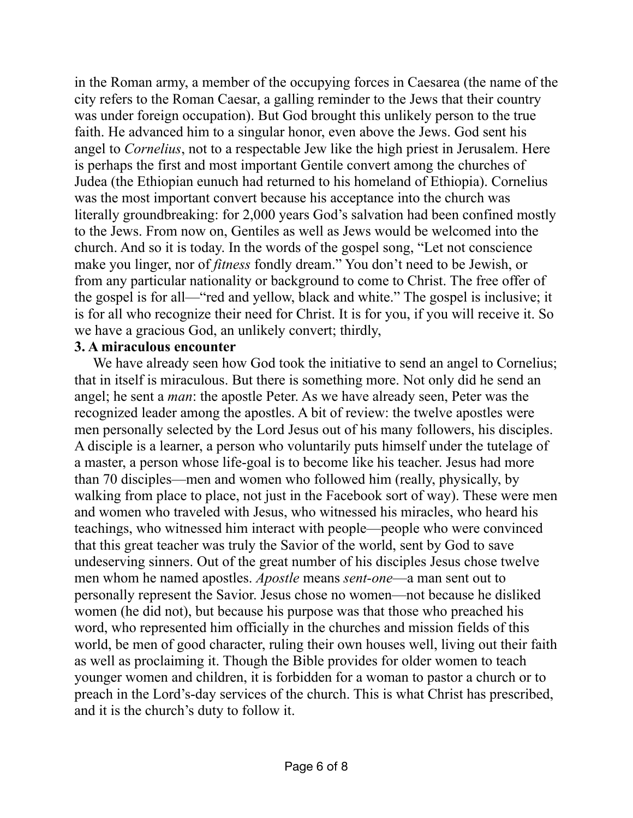in the Roman army, a member of the occupying forces in Caesarea (the name of the city refers to the Roman Caesar, a galling reminder to the Jews that their country was under foreign occupation). But God brought this unlikely person to the true faith. He advanced him to a singular honor, even above the Jews. God sent his angel to *Cornelius*, not to a respectable Jew like the high priest in Jerusalem. Here is perhaps the first and most important Gentile convert among the churches of Judea (the Ethiopian eunuch had returned to his homeland of Ethiopia). Cornelius was the most important convert because his acceptance into the church was literally groundbreaking: for 2,000 years God's salvation had been confined mostly to the Jews. From now on, Gentiles as well as Jews would be welcomed into the church. And so it is today. In the words of the gospel song, "Let not conscience make you linger, nor of *fitness* fondly dream." You don't need to be Jewish, or from any particular nationality or background to come to Christ. The free offer of the gospel is for all—"red and yellow, black and white." The gospel is inclusive; it is for all who recognize their need for Christ. It is for you, if you will receive it. So we have a gracious God, an unlikely convert; thirdly,

## **3. A miraculous encounter**

We have already seen how God took the initiative to send an angel to Cornelius; that in itself is miraculous. But there is something more. Not only did he send an angel; he sent a *man*: the apostle Peter. As we have already seen, Peter was the recognized leader among the apostles. A bit of review: the twelve apostles were men personally selected by the Lord Jesus out of his many followers, his disciples. A disciple is a learner, a person who voluntarily puts himself under the tutelage of a master, a person whose life-goal is to become like his teacher. Jesus had more than 70 disciples—men and women who followed him (really, physically, by walking from place to place, not just in the Facebook sort of way). These were men and women who traveled with Jesus, who witnessed his miracles, who heard his teachings, who witnessed him interact with people—people who were convinced that this great teacher was truly the Savior of the world, sent by God to save undeserving sinners. Out of the great number of his disciples Jesus chose twelve men whom he named apostles. *Apostle* means *sent-one*—a man sent out to personally represent the Savior. Jesus chose no women—not because he disliked women (he did not), but because his purpose was that those who preached his word, who represented him officially in the churches and mission fields of this world, be men of good character, ruling their own houses well, living out their faith as well as proclaiming it. Though the Bible provides for older women to teach younger women and children, it is forbidden for a woman to pastor a church or to preach in the Lord's-day services of the church. This is what Christ has prescribed, and it is the church's duty to follow it.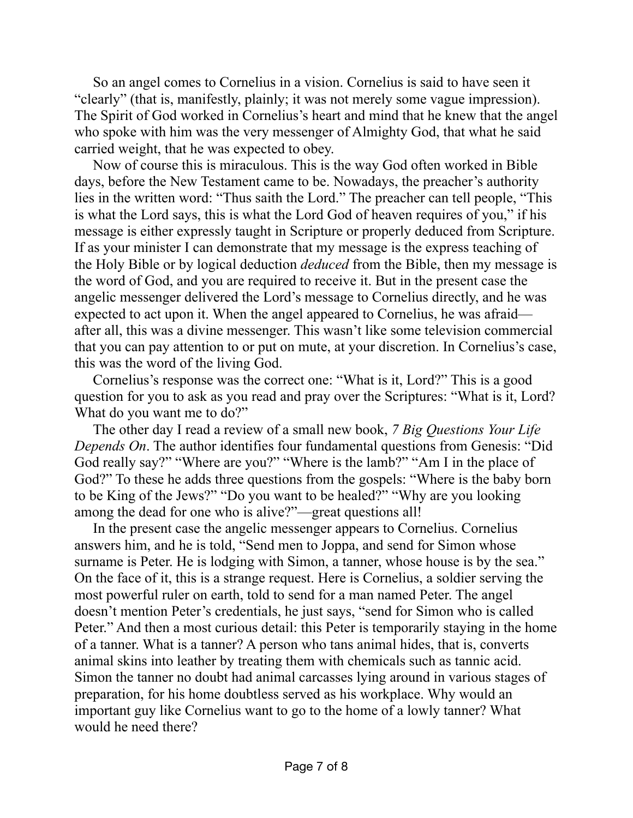So an angel comes to Cornelius in a vision. Cornelius is said to have seen it "clearly" (that is, manifestly, plainly; it was not merely some vague impression). The Spirit of God worked in Cornelius's heart and mind that he knew that the angel who spoke with him was the very messenger of Almighty God, that what he said carried weight, that he was expected to obey.

Now of course this is miraculous. This is the way God often worked in Bible days, before the New Testament came to be. Nowadays, the preacher's authority lies in the written word: "Thus saith the Lord." The preacher can tell people, "This is what the Lord says, this is what the Lord God of heaven requires of you," if his message is either expressly taught in Scripture or properly deduced from Scripture. If as your minister I can demonstrate that my message is the express teaching of the Holy Bible or by logical deduction *deduced* from the Bible, then my message is the word of God, and you are required to receive it. But in the present case the angelic messenger delivered the Lord's message to Cornelius directly, and he was expected to act upon it. When the angel appeared to Cornelius, he was afraid after all, this was a divine messenger. This wasn't like some television commercial that you can pay attention to or put on mute, at your discretion. In Cornelius's case, this was the word of the living God.

Cornelius's response was the correct one: "What is it, Lord?" This is a good question for you to ask as you read and pray over the Scriptures: "What is it, Lord? What do you want me to do?"

The other day I read a review of a small new book, *7 Big Questions Your Life Depends On*. The author identifies four fundamental questions from Genesis: "Did God really say?" "Where are you?" "Where is the lamb?" "Am I in the place of God?" To these he adds three questions from the gospels: "Where is the baby born to be King of the Jews?" "Do you want to be healed?" "Why are you looking among the dead for one who is alive?"—great questions all!

In the present case the angelic messenger appears to Cornelius. Cornelius answers him, and he is told, "Send men to Joppa, and send for Simon whose surname is Peter. He is lodging with Simon, a tanner, whose house is by the sea." On the face of it, this is a strange request. Here is Cornelius, a soldier serving the most powerful ruler on earth, told to send for a man named Peter. The angel doesn't mention Peter's credentials, he just says, "send for Simon who is called Peter." And then a most curious detail: this Peter is temporarily staying in the home of a tanner. What is a tanner? A person who tans animal hides, that is, converts animal skins into leather by treating them with chemicals such as tannic acid. Simon the tanner no doubt had animal carcasses lying around in various stages of preparation, for his home doubtless served as his workplace. Why would an important guy like Cornelius want to go to the home of a lowly tanner? What would he need there?